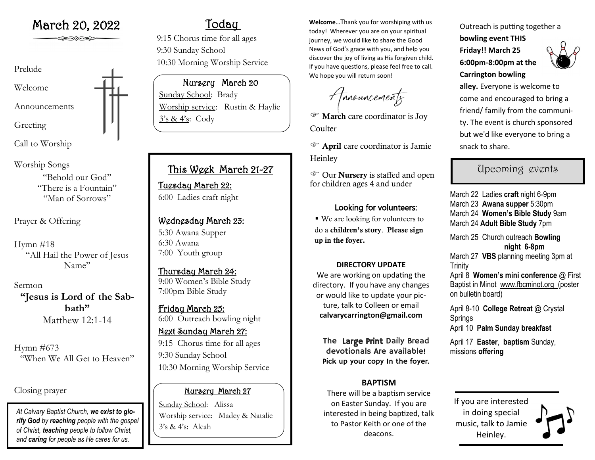# Prelude Welcome Announcements Greeting

Call to Worship

Worship Songs "Behold our God" "There is a Fountain" "Man of Sorrows"

Prayer & Offering

Hymn  $\#18$ "All Hail the Power of Jesus Name"

Sermon **"Jesus is Lord of the Sabbath"** Matthew 12:1-14

Hymn #673 "When We All Get to Heaven"

Closing prayer

*At Calvary Baptist Church, we exist to glorify God by reaching people with the gospel of Christ, teaching people to follow Christ, and caring for people as He cares for us.*

## Today

9:15 Chorus time for all ages 9:30 Sunday School 10:30 Morning Worship Service

Nursery March 20 Sunday School: Brady Worship service: Rustin & Haylie 3's & 4's: Cody

## This Week March 21-27

Tuesday March 22: 6:00 Ladies craft night

### Wednesday March 23:

5:30 Awana Supper 6:30 Awana 7:00 Youth group

Thursday March 24: 9:00 Women's Bible Study 7:00pm Bible Study

Friday March 25: 6:00 Outreach bowling night

Next Sunday March 27: 9:15 Chorus time for all ages 9:30 Sunday School 10:30 Morning Worship Service

### Nursery March 27

Sunday School: Alissa Worship service: Madey & Natalie 3's & 4's: Aleah

March 20, 2022 **Welcome...Thank you for worshiping with us** today! Wherever you are on your spiritual journey, we would like to share the Good News of God's grace with you, and help you discover the joy of living as His forgiven child. If you have questions, please feel free to call. We hope you will return soon!

Amouncements

 $\mathcal{F}$  March care coordinator is Joy **Coulter** 

 April care coordinator is Jamie **Heinley** 

 Our Nursery is staffed and open for children ages 4 and under

### Looking for volunteers:

▪ We are looking for volunteers to do a children's story. Please sign up in the foyer.

#### **DIRECTORY UPDATE**

We are working on updating the directory. If you have any changes or would like to update your picture, talk to Colleen or email **calvarycarrington@gmail.com**

The Large Print Daily Bread devotionals Are available! Pick up your copy In the foyer.

#### **BAPTISM**

There will be a baptism service on Easter Sunday. If you are interested in being baptized, talk to Pastor Keith or one of the deacons.

Outreach is putting together a **bowling event THIS Friday!! March 25 6:00pm-8:00pm at the Carrington bowling** 



**alley.** Everyone is welcome to come and encouraged to bring a friend/ family from the community. The event is church sponsored but we'd like everyone to bring a snack to share.

## Upcoming events

March 22 Ladies **craft** night 6-9pm March 23 **Awana supper** 5:30pm March 24 **Women's Bible Study** 9am March 24 **Adult Bible Study** 7pm March 25 Church outreach **Bowling night 6-8pm** March 27 **VBS** planning meeting 3pm at Trinity April 8 **Women's mini conference** @ First Baptist in Minot www.fbcminot.org (poster on bulletin board) April 8-10 **College Retreat** @ Crystal **Springs** April 10 **Palm Sunday breakfast** April 17 **Easter**, **baptism** Sunday, missions **offering**

If you are interested in doing special music, talk to Jamie Heinley.